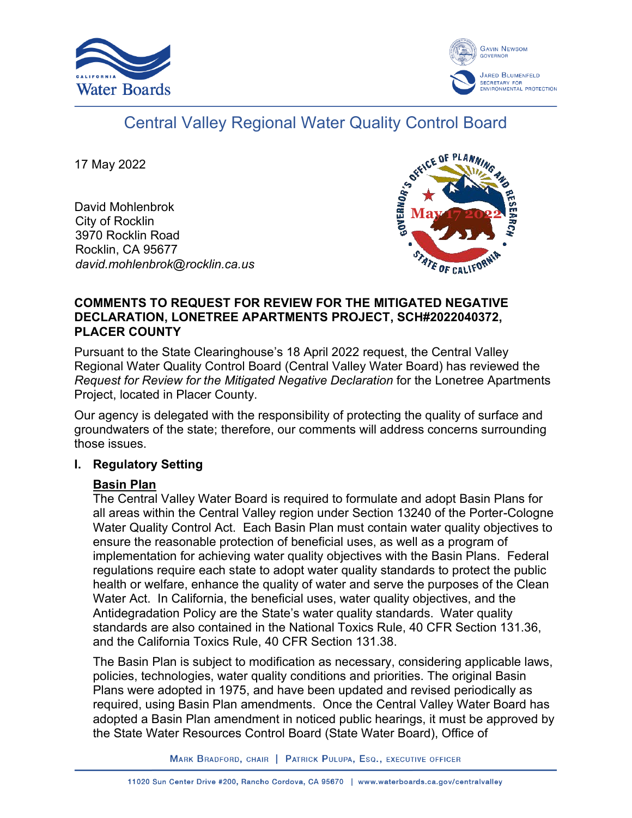



# Central Valley Regional Water Quality Control Board

17 May 2022

David Mohlenbrok City of Rocklin 3970 Rocklin Road Rocklin, CA 95677 *david.mohlenbrok@rocklin.ca.us*



### **COMMENTS TO REQUEST FOR REVIEW FOR THE MITIGATED NEGATIVE DECLARATION, LONETREE APARTMENTS PROJECT, SCH#2022040372, PLACER COUNTY**

Pursuant to the State Clearinghouse's 18 April 2022 request, the Central Valley Regional Water Quality Control Board (Central Valley Water Board) has reviewed the *Request for Review for the Mitigated Negative Declaration* for the Lonetree Apartments Project, located in Placer County.

Our agency is delegated with the responsibility of protecting the quality of surface and groundwaters of the state; therefore, our comments will address concerns surrounding those issues.

## **I. Regulatory Setting**

## **Basin Plan**

The Central Valley Water Board is required to formulate and adopt Basin Plans for all areas within the Central Valley region under Section 13240 of the Porter-Cologne Water Quality Control Act. Each Basin Plan must contain water quality objectives to ensure the reasonable protection of beneficial uses, as well as a program of implementation for achieving water quality objectives with the Basin Plans. Federal regulations require each state to adopt water quality standards to protect the public health or welfare, enhance the quality of water and serve the purposes of the Clean Water Act. In California, the beneficial uses, water quality objectives, and the Antidegradation Policy are the State's water quality standards. Water quality standards are also contained in the National Toxics Rule, 40 CFR Section 131.36, and the California Toxics Rule, 40 CFR Section 131.38.

The Basin Plan is subject to modification as necessary, considering applicable laws, policies, technologies, water quality conditions and priorities. The original Basin Plans were adopted in 1975, and have been updated and revised periodically as required, using Basin Plan amendments. Once the Central Valley Water Board has adopted a Basin Plan amendment in noticed public hearings, it must be approved by the State Water Resources Control Board (State Water Board), Office of

MARK BRADFORD, CHAIR | PATRICK PULUPA, ESQ., EXECUTIVE OFFICER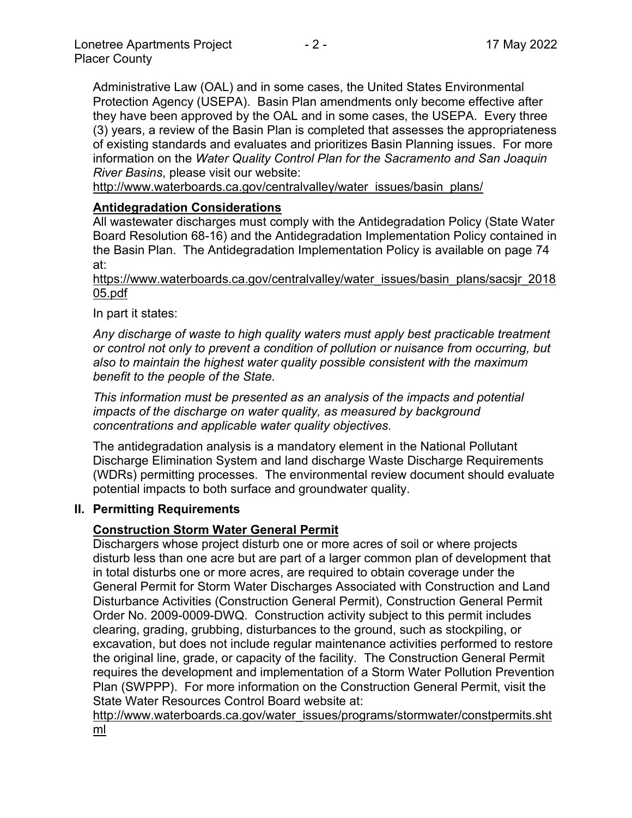Administrative Law (OAL) and in some cases, the United States Environmental Protection Agency (USEPA). Basin Plan amendments only become effective after they have been approved by the OAL and in some cases, the USEPA. Every three (3) years, a review of the Basin Plan is completed that assesses the appropriateness of existing standards and evaluates and prioritizes Basin Planning issues. For more information on the *Water Quality Control Plan for the Sacramento and San Joaquin River Basins*, please visit our website:

[http://www.waterboards.ca.gov/centralvalley/water\\_issues/basin\\_plans/](http://www.waterboards.ca.gov/centralvalley/water_issues/basin_plans/)

## **Antidegradation Considerations**

All wastewater discharges must comply with the Antidegradation Policy (State Water Board Resolution 68-16) and the Antidegradation Implementation Policy contained in the Basin Plan. The Antidegradation Implementation Policy is available on page 74 at:

https://www.waterboards.ca.gov/centralvalley/water\_issues/basin\_plans/sacsjr\_2018 05.pdf

In part it states:

*Any discharge of waste to high quality waters must apply best practicable treatment or control not only to prevent a condition of pollution or nuisance from occurring, but also to maintain the highest water quality possible consistent with the maximum benefit to the people of the State.*

*This information must be presented as an analysis of the impacts and potential impacts of the discharge on water quality, as measured by background concentrations and applicable water quality objectives.*

The antidegradation analysis is a mandatory element in the National Pollutant Discharge Elimination System and land discharge Waste Discharge Requirements (WDRs) permitting processes. The environmental review document should evaluate potential impacts to both surface and groundwater quality.

#### **II. Permitting Requirements**

## **Construction Storm Water General Permit**

Dischargers whose project disturb one or more acres of soil or where projects disturb less than one acre but are part of a larger common plan of development that in total disturbs one or more acres, are required to obtain coverage under the General Permit for Storm Water Discharges Associated with Construction and Land Disturbance Activities (Construction General Permit), Construction General Permit Order No. 2009-0009-DWQ. Construction activity subject to this permit includes clearing, grading, grubbing, disturbances to the ground, such as stockpiling, or excavation, but does not include regular maintenance activities performed to restore the original line, grade, or capacity of the facility. The Construction General Permit requires the development and implementation of a Storm Water Pollution Prevention Plan (SWPPP). For more information on the Construction General Permit, visit the State Water Resources Control Board website at:

[http://www.waterboards.ca.gov/water\\_issues/programs/stormwater/constpermits.sht](http://www.waterboards.ca.gov/water_issues/programs/stormwater/constpermits.shtml) [ml](http://www.waterboards.ca.gov/water_issues/programs/stormwater/constpermits.shtml)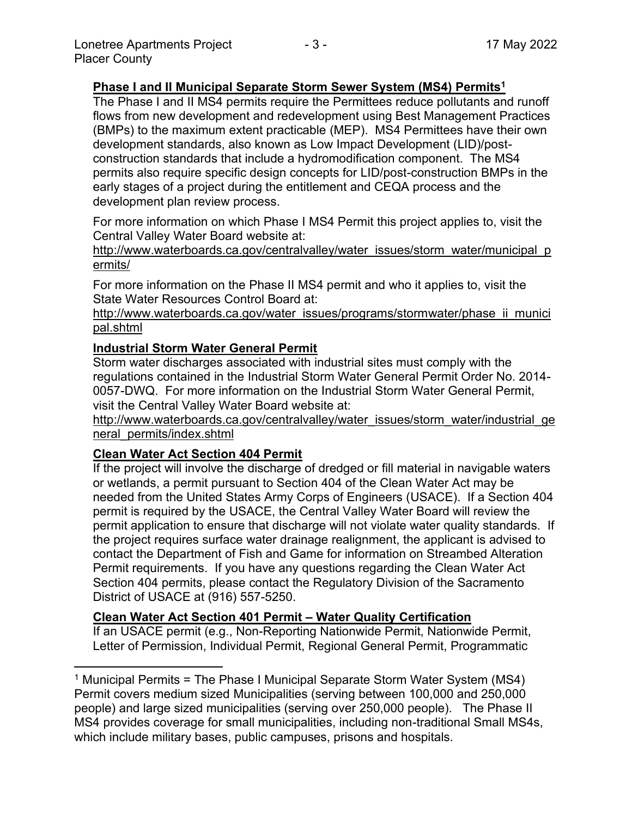## **Phase I and II Municipal Separate Storm Sewer System (MS4) Permits<sup>1</sup>**

The Phase I and II MS4 permits require the Permittees reduce pollutants and runoff flows from new development and redevelopment using Best Management Practices (BMPs) to the maximum extent practicable (MEP). MS4 Permittees have their own development standards, also known as Low Impact Development (LID)/postconstruction standards that include a hydromodification component. The MS4 permits also require specific design concepts for LID/post-construction BMPs in the early stages of a project during the entitlement and CEQA process and the development plan review process.

For more information on which Phase I MS4 Permit this project applies to, visit the Central Valley Water Board website at:

http://www.waterboards.ca.gov/centralvalley/water\_issues/storm\_water/municipal\_p ermits/

For more information on the Phase II MS4 permit and who it applies to, visit the State Water Resources Control Board at:

http://www.waterboards.ca.gov/water\_issues/programs/stormwater/phase\_ii\_munici pal.shtml

#### **Industrial Storm Water General Permit**

Storm water discharges associated with industrial sites must comply with the regulations contained in the Industrial Storm Water General Permit Order No. 2014- 0057-DWQ. For more information on the Industrial Storm Water General Permit, visit the Central Valley Water Board website at:

http://www.waterboards.ca.gov/centralvalley/water\_issues/storm\_water/industrial\_ge neral\_permits/index.shtml

#### **Clean Water Act Section 404 Permit**

If the project will involve the discharge of dredged or fill material in navigable waters or wetlands, a permit pursuant to Section 404 of the Clean Water Act may be needed from the United States Army Corps of Engineers (USACE). If a Section 404 permit is required by the USACE, the Central Valley Water Board will review the permit application to ensure that discharge will not violate water quality standards. If the project requires surface water drainage realignment, the applicant is advised to contact the Department of Fish and Game for information on Streambed Alteration Permit requirements. If you have any questions regarding the Clean Water Act Section 404 permits, please contact the Regulatory Division of the Sacramento District of USACE at (916) 557-5250.

#### **Clean Water Act Section 401 Permit – Water Quality Certification**

If an USACE permit (e.g., Non-Reporting Nationwide Permit, Nationwide Permit, Letter of Permission, Individual Permit, Regional General Permit, Programmatic

<sup>1</sup> Municipal Permits = The Phase I Municipal Separate Storm Water System (MS4) Permit covers medium sized Municipalities (serving between 100,000 and 250,000 people) and large sized municipalities (serving over 250,000 people). The Phase II MS4 provides coverage for small municipalities, including non-traditional Small MS4s, which include military bases, public campuses, prisons and hospitals.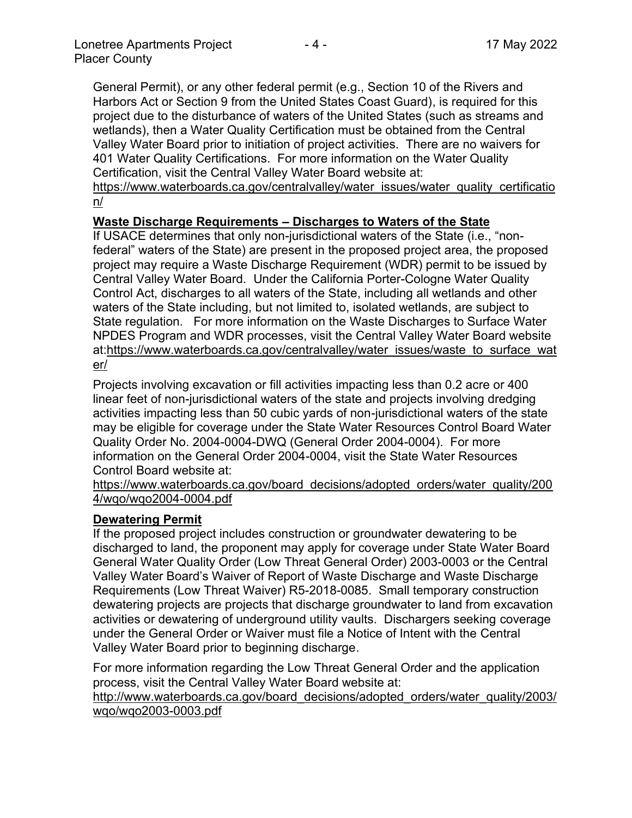General Permit), or any other federal permit (e.g., Section 10 of the Rivers and Harbors Act or Section 9 from the United States Coast Guard), is required for this project due to the disturbance of waters of the United States (such as streams and wetlands), then a Water Quality Certification must be obtained from the Central Valley Water Board prior to initiation of project activities. There are no waivers for 401 Water Quality Certifications. For more information on the Water Quality Certification, visit the Central Valley Water Board website at:

https://www.waterboards.ca.gov/centralvalley/water\_issues/water\_quality\_certificatio n/

## **Waste Discharge Requirements – Discharges to Waters of the State**

If USACE determines that only non-jurisdictional waters of the State (i.e., "nonfederal" waters of the State) are present in the proposed project area, the proposed project may require a Waste Discharge Requirement (WDR) permit to be issued by Central Valley Water Board. Under the California Porter-Cologne Water Quality Control Act, discharges to all waters of the State, including all wetlands and other waters of the State including, but not limited to, isolated wetlands, are subject to State regulation. For more information on the Waste Discharges to Surface Water NPDES Program and WDR processes, visit the Central Valley Water Board website at:https://www.waterboards.ca.gov/centralvalley/water\_issues/waste\_to\_surface\_wat er/

Projects involving excavation or fill activities impacting less than 0.2 acre or 400 linear feet of non-jurisdictional waters of the state and projects involving dredging activities impacting less than 50 cubic yards of non-jurisdictional waters of the state may be eligible for coverage under the State Water Resources Control Board Water Quality Order No. 2004-0004-DWQ (General Order 2004-0004). For more information on the General Order 2004-0004, visit the State Water Resources Control Board website at:

https://www.waterboards.ca.gov/board\_decisions/adopted\_orders/water\_quality/200 4/wqo/wqo2004-0004.pdf

#### **Dewatering Permit**

If the proposed project includes construction or groundwater dewatering to be discharged to land, the proponent may apply for coverage under State Water Board General Water Quality Order (Low Threat General Order) 2003-0003 or the Central Valley Water Board's Waiver of Report of Waste Discharge and Waste Discharge Requirements (Low Threat Waiver) R5-2018-0085. Small temporary construction dewatering projects are projects that discharge groundwater to land from excavation activities or dewatering of underground utility vaults. Dischargers seeking coverage under the General Order or Waiver must file a Notice of Intent with the Central Valley Water Board prior to beginning discharge.

For more information regarding the Low Threat General Order and the application process, visit the Central Valley Water Board website at:

http://www.waterboards.ca.gov/board decisions/adopted orders/water quality/2003/ wqo/wqo2003-0003.pdf